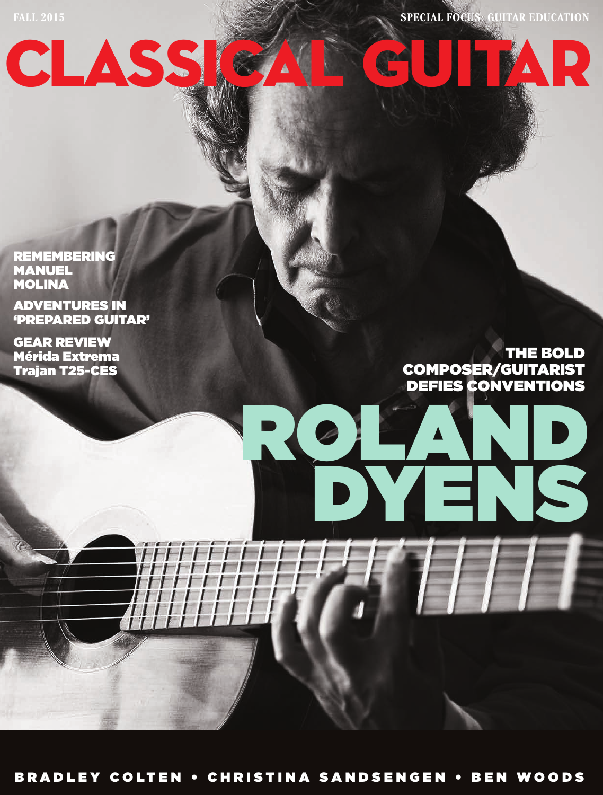FALL 2015 **SPECIAL FOCUS: GUITAR EDUCATION** 

REMEMBERING MANUEL MOLINA

ADVENTURES IN 'PREPARED GUITAR'

CLASS

GEAR REVIEW Mérida Extrema Trajan T25-CES

ROLAND THE BOLD COMPOSER/GUITARIST DEFIES CONVENTIONS

DYENS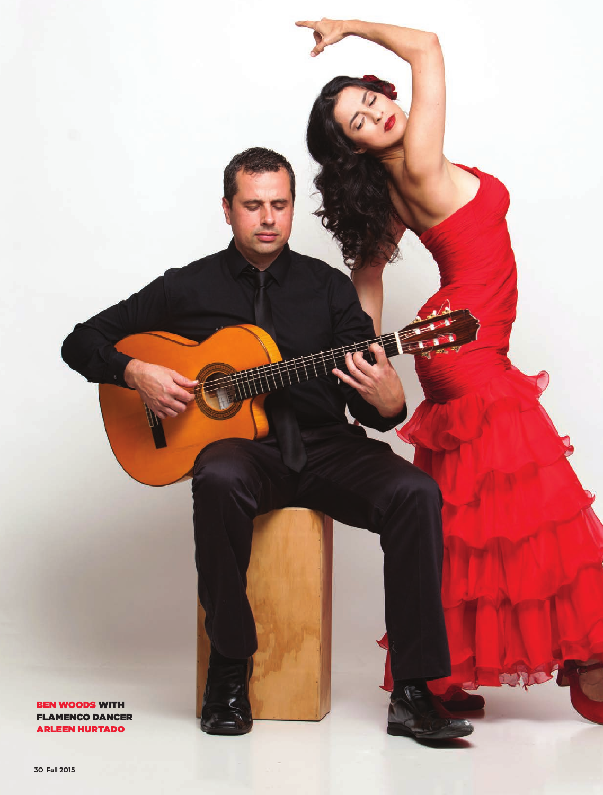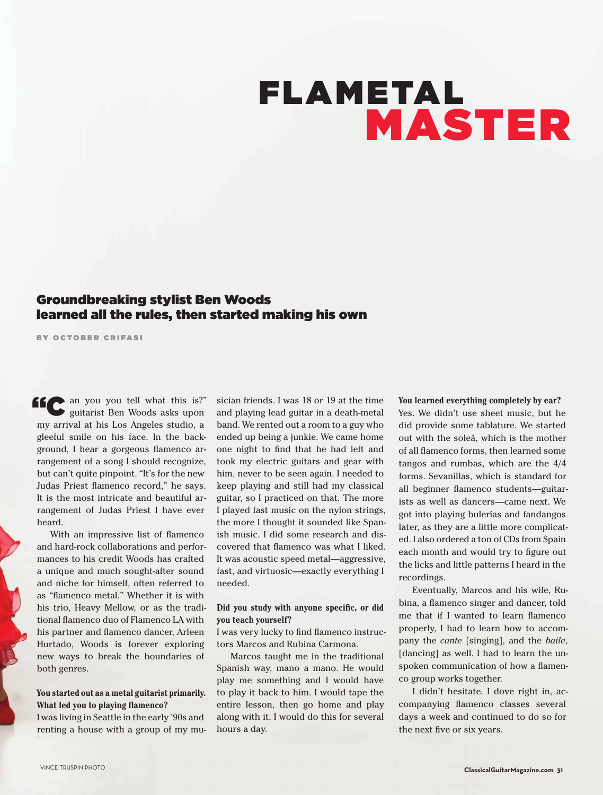# FLAMETAL MASTER

### Groundbreaking stylist Ben Woods learned all the rules, then started making his own

BY OCTOBER CRIFASI

"C an you you tell what this is?" guitarist Ben Woods asks upon my arrival at his Los Angeles studio, a gleeful smile on his face. In the background, I hear a gorgeous famenco arrangement of a song I should recognize, but can't quite pinpoint. "It's for the new Judas Priest famenco record," he says. It is the most intricate and beautiful arrangement of Judas Priest I have ever heard.

With an impressive list of famenco and hard-rock collaborations and performances to his credit Woods has crafted a unique and much sought-after sound and niche for himself, often referred to as "flamenco metal." Whether it is with his trio, Heavy Mellow, or as the traditional famenco duo of Flamenco LA with his partner and famenco dancer, Arleen Hurtado, Woods is forever exploring new ways to break the boundaries of both genres.

#### **You started out as a metal guitarist primarily. What led you to playing flamenco?**

I was living in Seattle in the early '90s and renting a house with a group of my musician friends. I was 18 or 19 at the time and playing lead guitar in a death-metal band. We rented out a room to a guy who ended up being a junkie. We came home one night to fnd that he had left and took my electric guitars and gear with him, never to be seen again. I needed to keep playing and still had my classical guitar, so I practiced on that. The more I played fast music on the nylon strings, the more I thought it sounded like Spanish music. I did some research and discovered that famenco was what I liked. It was acoustic speed metal—aggressive, fast, and virtuosic—exactly everything I needed.

#### **Did you study with anyone specific, or did you teach yourself?**

I was very lucky to fnd famenco instructors Marcos and Rubina Carmona.

Marcos taught me in the traditional Spanish way, mano a mano. He would play me something and I would have to play it back to him. I would tape the entire lesson, then go home and play along with it. I would do this for several hours a day.

**You learned everything completely by ear?** Yes. We didn't use sheet music, but he did provide some tablature. We started out with the soleá, which is the mother of all famenco forms, then learned some tangos and rumbas, which are the 4/4 forms. Sevanillas, which is standard for all beginner famenco students—guitarists as well as dancers—came next. We got into playing bulerías and fandangos later, as they are a little more complicated. I also ordered a ton of CDs from Spain each month and would try to fgure out the licks and little patterns I heard in the recordings.

Eventually, Marcos and his wife, Rubina, a famenco singer and dancer, told me that if I wanted to learn famenco properly, I had to learn how to accompany the *cante* [singing], and the *baile*, [dancing] as well. I had to learn the unspoken communication of how a famenco group works together.

I didn't hesitate. I dove right in, accompanying famenco classes several days a week and continued to do so for the next fve or six years.